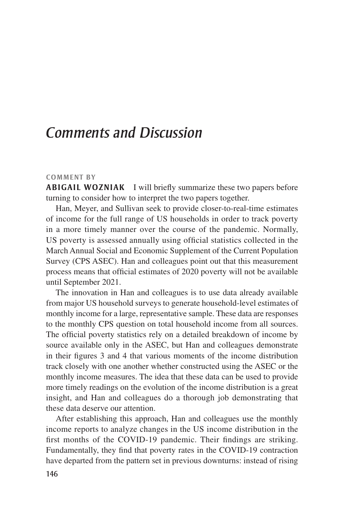# *Comments and Discussion*

# **COMMENT BY**

**ABIGAIL WOZNIAK** I will briefly summarize these two papers before turning to consider how to interpret the two papers together.

Han, Meyer, and Sullivan seek to provide closer-to-real-time estimates of income for the full range of US households in order to track poverty in a more timely manner over the course of the pandemic. Normally, US poverty is assessed annually using official statistics collected in the March Annual Social and Economic Supplement of the Current Population Survey (CPS ASEC). Han and colleagues point out that this measurement process means that official estimates of 2020 poverty will not be available until September 2021.

The innovation in Han and colleagues is to use data already available from major US household surveys to generate household-level estimates of monthly income for a large, representative sample. These data are responses to the monthly CPS question on total household income from all sources. The official poverty statistics rely on a detailed breakdown of income by source available only in the ASEC, but Han and colleagues demonstrate in their figures 3 and 4 that various moments of the income distribution track closely with one another whether constructed using the ASEC or the monthly income measures. The idea that these data can be used to provide more timely readings on the evolution of the income distribution is a great insight, and Han and colleagues do a thorough job demonstrating that these data deserve our attention.

After establishing this approach, Han and colleagues use the monthly income reports to analyze changes in the US income distribution in the first months of the COVID-19 pandemic. Their findings are striking. Fundamentally, they find that poverty rates in the COVID-19 contraction have departed from the pattern set in previous downturns: instead of rising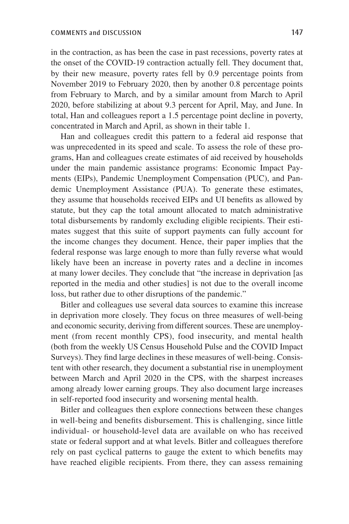in the contraction, as has been the case in past recessions, poverty rates at the onset of the COVID-19 contraction actually fell. They document that, by their new measure, poverty rates fell by 0.9 percentage points from November 2019 to February 2020, then by another 0.8 percentage points from February to March, and by a similar amount from March to April 2020, before stabilizing at about 9.3 percent for April, May, and June. In total, Han and colleagues report a 1.5 percentage point decline in poverty, concentrated in March and April, as shown in their table 1.

Han and colleagues credit this pattern to a federal aid response that was unprecedented in its speed and scale. To assess the role of these programs, Han and colleagues create estimates of aid received by households under the main pandemic assistance programs: Economic Impact Payments (EIPs), Pandemic Unemployment Compensation (PUC), and Pandemic Unemployment Assistance (PUA). To generate these estimates, they assume that households received EIPs and UI benefits as allowed by statute, but they cap the total amount allocated to match administrative total disbursements by randomly excluding eligible recipients. Their estimates suggest that this suite of support payments can fully account for the income changes they document. Hence, their paper implies that the federal response was large enough to more than fully reverse what would likely have been an increase in poverty rates and a decline in incomes at many lower deciles. They conclude that "the increase in deprivation [as reported in the media and other studies] is not due to the overall income loss, but rather due to other disruptions of the pandemic."

Bitler and colleagues use several data sources to examine this increase in deprivation more closely. They focus on three measures of well-being and economic security, deriving from different sources. These are unemployment (from recent monthly CPS), food insecurity, and mental health (both from the weekly US Census Household Pulse and the COVID Impact Surveys). They find large declines in these measures of well-being. Consistent with other research, they document a substantial rise in unemployment between March and April 2020 in the CPS, with the sharpest increases among already lower earning groups. They also document large increases in self-reported food insecurity and worsening mental health.

Bitler and colleagues then explore connections between these changes in well-being and benefits disbursement. This is challenging, since little individual- or household-level data are available on who has received state or federal support and at what levels. Bitler and colleagues therefore rely on past cyclical patterns to gauge the extent to which benefits may have reached eligible recipients. From there, they can assess remaining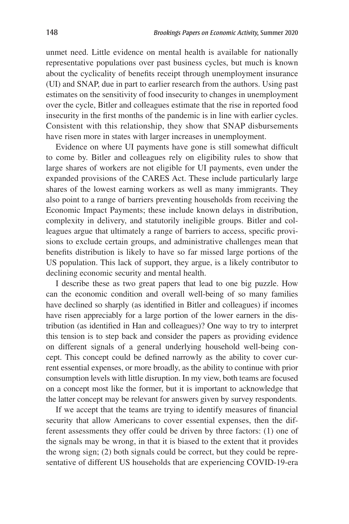unmet need. Little evidence on mental health is available for nationally representative populations over past business cycles, but much is known about the cyclicality of benefits receipt through unemployment insurance (UI) and SNAP, due in part to earlier research from the authors. Using past estimates on the sensitivity of food insecurity to changes in unemployment over the cycle, Bitler and colleagues estimate that the rise in reported food insecurity in the first months of the pandemic is in line with earlier cycles. Consistent with this relationship, they show that SNAP disbursements have risen more in states with larger increases in unemployment.

Evidence on where UI payments have gone is still somewhat difficult to come by. Bitler and colleagues rely on eligibility rules to show that large shares of workers are not eligible for UI payments, even under the expanded provisions of the CARES Act. These include particularly large shares of the lowest earning workers as well as many immigrants. They also point to a range of barriers preventing households from receiving the Economic Impact Payments; these include known delays in distribution, complexity in delivery, and statutorily ineligible groups. Bitler and colleagues argue that ultimately a range of barriers to access, specific provisions to exclude certain groups, and administrative challenges mean that benefits distribution is likely to have so far missed large portions of the US population. This lack of support, they argue, is a likely contributor to declining economic security and mental health.

I describe these as two great papers that lead to one big puzzle. How can the economic condition and overall well-being of so many families have declined so sharply (as identified in Bitler and colleagues) if incomes have risen appreciably for a large portion of the lower earners in the distribution (as identified in Han and colleagues)? One way to try to interpret this tension is to step back and consider the papers as providing evidence on different signals of a general underlying household well-being concept. This concept could be defined narrowly as the ability to cover current essential expenses, or more broadly, as the ability to continue with prior consumption levels with little disruption. In my view, both teams are focused on a concept most like the former, but it is important to acknowledge that the latter concept may be relevant for answers given by survey respondents.

If we accept that the teams are trying to identify measures of financial security that allow Americans to cover essential expenses, then the different assessments they offer could be driven by three factors: (1) one of the signals may be wrong, in that it is biased to the extent that it provides the wrong sign; (2) both signals could be correct, but they could be representative of different US households that are experiencing COVID-19-era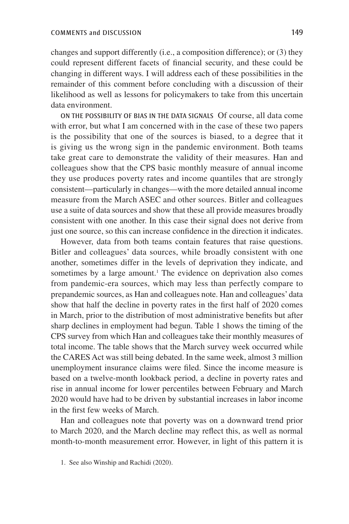changes and support differently (i.e., a composition difference); or (3) they could represent different facets of financial security, and these could be changing in different ways. I will address each of these possibilities in the remainder of this comment before concluding with a discussion of their likelihood as well as lessons for policymakers to take from this uncertain data environment.

ON THE POSSIBILITY OF BIAS IN THE DATA SIGNALS Of course, all data come with error, but what I am concerned with in the case of these two papers is the possibility that one of the sources is biased, to a degree that it is giving us the wrong sign in the pandemic environment. Both teams take great care to demonstrate the validity of their measures. Han and colleagues show that the CPS basic monthly measure of annual income they use produces poverty rates and income quantiles that are strongly consistent—particularly in changes—with the more detailed annual income measure from the March ASEC and other sources. Bitler and colleagues use a suite of data sources and show that these all provide measures broadly consistent with one another. In this case their signal does not derive from just one source, so this can increase confidence in the direction it indicates.

However, data from both teams contain features that raise questions. Bitler and colleagues' data sources, while broadly consistent with one another, sometimes differ in the levels of deprivation they indicate, and sometimes by a large amount.<sup>1</sup> The evidence on deprivation also comes from pandemic-era sources, which may less than perfectly compare to prepandemic sources, as Han and colleagues note. Han and colleagues' data show that half the decline in poverty rates in the first half of 2020 comes in March, prior to the distribution of most administrative benefits but after sharp declines in employment had begun. Table 1 shows the timing of the CPS survey from which Han and colleagues take their monthly measures of total income. The table shows that the March survey week occurred while the CARES Act was still being debated. In the same week, almost 3 million unemployment insurance claims were filed. Since the income measure is based on a twelve-month lookback period, a decline in poverty rates and rise in annual income for lower percentiles between February and March 2020 would have had to be driven by substantial increases in labor income in the first few weeks of March.

Han and colleagues note that poverty was on a downward trend prior to March 2020, and the March decline may reflect this, as well as normal month-to-month measurement error. However, in light of this pattern it is

<sup>1.</sup> See also Winship and Rachidi (2020).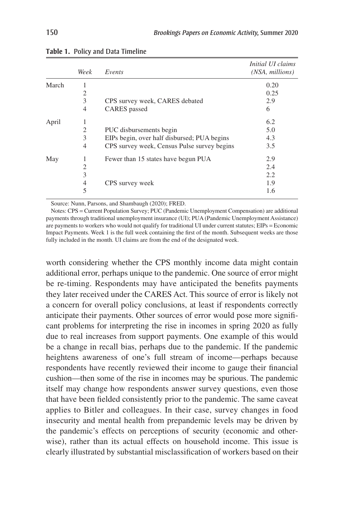|       | Week | Events                                      | Initial UI claims<br>(NSA, millions) |
|-------|------|---------------------------------------------|--------------------------------------|
| March |      |                                             | 0.20                                 |
|       | 2    |                                             | 0.25                                 |
|       | 3    | CPS survey week, CARES debated              | 2.9                                  |
|       | 4    | CARES passed                                | 6                                    |
| April | 1    |                                             | 6.2                                  |
|       | 2    | PUC disbursements begin                     | 5.0                                  |
|       | 3    | EIPs begin, over half disbursed; PUA begins | 4.3                                  |
|       | 4    | CPS survey week, Census Pulse survey begins | 3.5                                  |
| May   | 1    | Fewer than 15 states have begun PUA         | 2.9                                  |
|       | 2    |                                             | 2.4                                  |
|       | 3    |                                             | 2.2                                  |
|       | 4    | CPS survey week                             | 1.9                                  |
|       | 5    |                                             | 1.6                                  |

**Table 1.** Policy and Data Timeline

Source: Nunn, Parsons, and Shambaugh (2020); FRED.

Notes: CPS = Current Population Survey; PUC (Pandemic Unemployment Compensation) are additional payments through traditional unemployment insurance (UI); PUA (Pandemic Unemployment Assistance) are payments to workers who would not qualify for traditional UI under current statutes; EIPs = Economic Impact Payments. Week 1 is the full week containing the first of the month. Subsequent weeks are those fully included in the month. UI claims are from the end of the designated week.

worth considering whether the CPS monthly income data might contain additional error, perhaps unique to the pandemic. One source of error might be re-timing. Respondents may have anticipated the benefits payments they later received under the CARES Act. This source of error is likely not a concern for overall policy conclusions, at least if respondents correctly anticipate their payments. Other sources of error would pose more significant problems for interpreting the rise in incomes in spring 2020 as fully due to real increases from support payments. One example of this would be a change in recall bias, perhaps due to the pandemic. If the pandemic heightens awareness of one's full stream of income—perhaps because respondents have recently reviewed their income to gauge their financial cushion—then some of the rise in incomes may be spurious. The pandemic itself may change how respondents answer survey questions, even those that have been fielded consistently prior to the pandemic. The same caveat applies to Bitler and colleagues. In their case, survey changes in food insecurity and mental health from prepandemic levels may be driven by the pandemic's effects on perceptions of security (economic and otherwise), rather than its actual effects on household income. This issue is clearly illustrated by substantial misclassification of workers based on their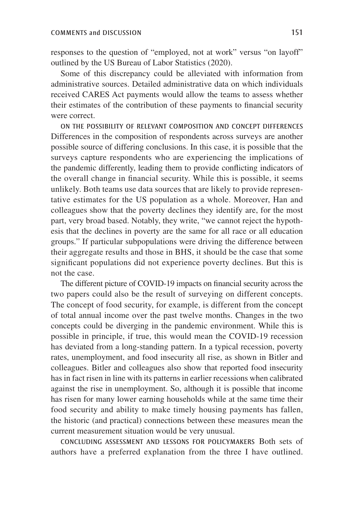responses to the question of "employed, not at work" versus "on layoff" outlined by the US Bureau of Labor Statistics (2020).

Some of this discrepancy could be alleviated with information from administrative sources. Detailed administrative data on which individuals received CARES Act payments would allow the teams to assess whether their estimates of the contribution of these payments to financial security were correct.

ON THE POSSIBILITY OF RELEVANT COMPOSITION AND CONCEPT DIFFERENCES Differences in the composition of respondents across surveys are another possible source of differing conclusions. In this case, it is possible that the surveys capture respondents who are experiencing the implications of the pandemic differently, leading them to provide conflicting indicators of the overall change in financial security. While this is possible, it seems unlikely. Both teams use data sources that are likely to provide representative estimates for the US population as a whole. Moreover, Han and colleagues show that the poverty declines they identify are, for the most part, very broad based. Notably, they write, "we cannot reject the hypothesis that the declines in poverty are the same for all race or all education groups." If particular subpopulations were driving the difference between their aggregate results and those in BHS, it should be the case that some significant populations did not experience poverty declines. But this is not the case.

The different picture of COVID-19 impacts on financial security across the two papers could also be the result of surveying on different concepts. The concept of food security, for example, is different from the concept of total annual income over the past twelve months. Changes in the two concepts could be diverging in the pandemic environment. While this is possible in principle, if true, this would mean the COVID-19 recession has deviated from a long-standing pattern. In a typical recession, poverty rates, unemployment, and food insecurity all rise, as shown in Bitler and colleagues. Bitler and colleagues also show that reported food insecurity has in fact risen in line with its patterns in earlier recessions when calibrated against the rise in unemployment. So, although it is possible that income has risen for many lower earning households while at the same time their food security and ability to make timely housing payments has fallen, the historic (and practical) connections between these measures mean the current measurement situation would be very unusual.

CONCLUDING ASSESSMENT AND LESSONS FOR POLICYMAKERS Both sets of authors have a preferred explanation from the three I have outlined.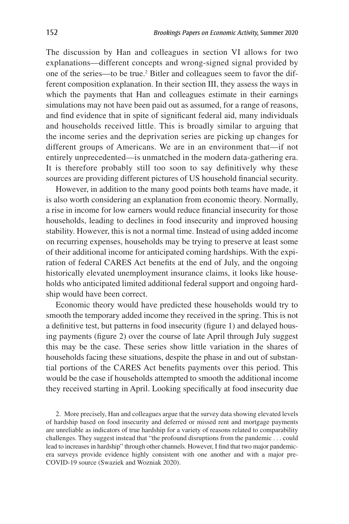The discussion by Han and colleagues in section VI allows for two explanations—different concepts and wrong-signed signal provided by one of the series—to be true.<sup>2</sup> Bitler and colleagues seem to favor the different composition explanation. In their section III, they assess the ways in which the payments that Han and colleagues estimate in their earnings simulations may not have been paid out as assumed, for a range of reasons, and find evidence that in spite of significant federal aid, many individuals and households received little. This is broadly similar to arguing that the income series and the deprivation series are picking up changes for different groups of Americans. We are in an environment that—if not entirely unprecedented—is unmatched in the modern data-gathering era. It is therefore probably still too soon to say definitively why these sources are providing different pictures of US household financial security.

However, in addition to the many good points both teams have made, it is also worth considering an explanation from economic theory. Normally, a rise in income for low earners would reduce financial insecurity for those households, leading to declines in food insecurity and improved housing stability. However, this is not a normal time. Instead of using added income on recurring expenses, households may be trying to preserve at least some of their additional income for anticipated coming hardships. With the expiration of federal CARES Act benefits at the end of July, and the ongoing historically elevated unemployment insurance claims, it looks like households who anticipated limited additional federal support and ongoing hardship would have been correct.

Economic theory would have predicted these households would try to smooth the temporary added income they received in the spring. This is not a definitive test, but patterns in food insecurity (figure 1) and delayed housing payments (figure 2) over the course of late April through July suggest this may be the case. These series show little variation in the shares of households facing these situations, despite the phase in and out of substantial portions of the CARES Act benefits payments over this period. This would be the case if households attempted to smooth the additional income they received starting in April. Looking specifically at food insecurity due

2. More precisely, Han and colleagues argue that the survey data showing elevated levels of hardship based on food insecurity and deferred or missed rent and mortgage payments are unreliable as indicators of true hardship for a variety of reasons related to comparability challenges. They suggest instead that "the profound disruptions from the pandemic . . . could lead to increases in hardship" through other channels. However, I find that two major pandemicera surveys provide evidence highly consistent with one another and with a major pre-COVID-19 source (Swaziek and Wozniak 2020).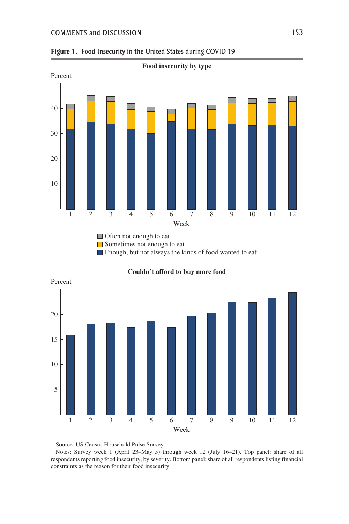

**Figure 1.** Food Insecurity in the United States during COVID-19



Source: US Census Household Pulse Survey.

Notes: Survey week 1 (April 23–May 5) through week 12 (July 16–21). Top panel: share of all respondents reporting food insecurity, by severity. Bottom panel: share of all respondents listing financial constraints as the reason for their food insecurity.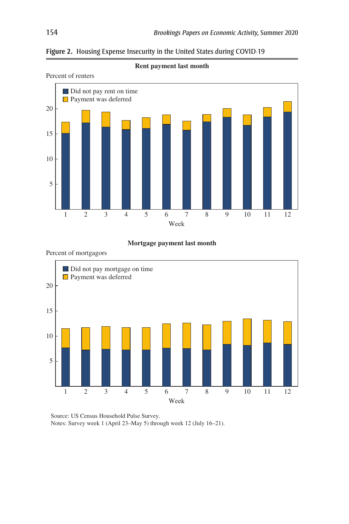**Rent payment last month**



### **Mortgage payment last month**



Source: US Census Household Pulse Survey. Notes: Survey week 1 (April 23–May 5) through week 12 (July 16–21).

# **Figure 2.** Housing Expense Insecurity in the United States during COVID-19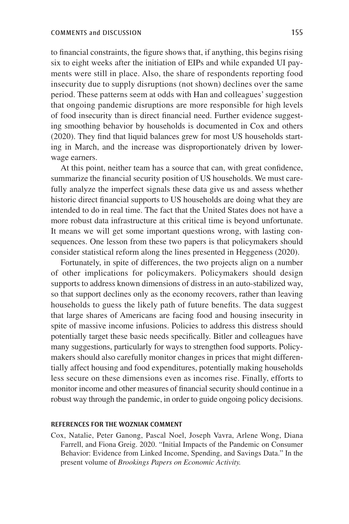to financial constraints, the figure shows that, if anything, this begins rising six to eight weeks after the initiation of EIPs and while expanded UI payments were still in place. Also, the share of respondents reporting food insecurity due to supply disruptions (not shown) declines over the same period. These patterns seem at odds with Han and colleagues' suggestion that ongoing pandemic disruptions are more responsible for high levels of food insecurity than is direct financial need. Further evidence suggesting smoothing behavior by households is documented in Cox and others (2020). They find that liquid balances grew for most US households starting in March, and the increase was disproportionately driven by lowerwage earners.

At this point, neither team has a source that can, with great confidence, summarize the financial security position of US households. We must carefully analyze the imperfect signals these data give us and assess whether historic direct financial supports to US households are doing what they are intended to do in real time. The fact that the United States does not have a more robust data infrastructure at this critical time is beyond unfortunate. It means we will get some important questions wrong, with lasting consequences. One lesson from these two papers is that policymakers should consider statistical reform along the lines presented in Heggeness (2020).

Fortunately, in spite of differences, the two projects align on a number of other implications for policymakers. Policymakers should design supports to address known dimensions of distress in an auto-stabilized way, so that support declines only as the economy recovers, rather than leaving households to guess the likely path of future benefits. The data suggest that large shares of Americans are facing food and housing insecurity in spite of massive income infusions. Policies to address this distress should potentially target these basic needs specifically. Bitler and colleagues have many suggestions, particularly for ways to strengthen food supports. Policymakers should also carefully monitor changes in prices that might differentially affect housing and food expenditures, potentially making households less secure on these dimensions even as incomes rise. Finally, efforts to monitor income and other measures of financial security should continue in a robust way through the pandemic, in order to guide ongoing policy decisions.

#### **REFERENCES FOR THE WOZNIAK COMMENT**

Cox, Natalie, Peter Ganong, Pascal Noel, Joseph Vavra, Arlene Wong, Diana Farrell, and Fiona Greig. 2020. "Initial Impacts of the Pandemic on Consumer Behavior: Evidence from Linked Income, Spending, and Savings Data." In the present volume of *Brookings Papers on Economic Activity.*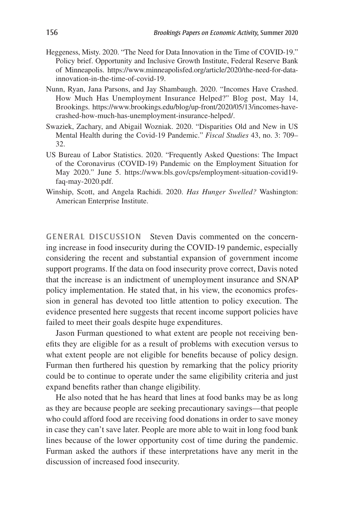- Heggeness, Misty. 2020. "The Need for Data Innovation in the Time of COVID-19." Policy brief. Opportunity and Inclusive Growth Institute, Federal Reserve Bank of Minneapolis. https://www.minneapolisfed.org/article/2020/the-need-for-datainnovation-in-the-time-of-covid-19.
- Nunn, Ryan, Jana Parsons, and Jay Shambaugh. 2020. "Incomes Have Crashed. How Much Has Unemployment Insurance Helped?" Blog post, May 14, Brookings. https://www.brookings.edu/blog/up-front/2020/05/13/incomes-havecrashed-how-much-has-unemployment-insurance-helped/.
- Swaziek, Zachary, and Abigail Wozniak. 2020. "Disparities Old and New in US Mental Health during the Covid-19 Pandemic." *Fiscal Studies* 43, no. 3: 709– 32.
- US Bureau of Labor Statistics. 2020. "Frequently Asked Questions: The Impact of the Coronavirus (COVID-19) Pandemic on the Employment Situation for May 2020." June 5. https://www.bls.gov/cps/employment-situation-covid19 faq-may-2020.pdf.
- Winship, Scott, and Angela Rachidi. 2020. *Has Hunger Swelled?* Washington: American Enterprise Institute.

**GENERAL DISCUSSION** Steven Davis commented on the concerning increase in food insecurity during the COVID-19 pandemic, especially considering the recent and substantial expansion of government income support programs. If the data on food insecurity prove correct, Davis noted that the increase is an indictment of unemployment insurance and SNAP policy implementation. He stated that, in his view, the economics profession in general has devoted too little attention to policy execution. The evidence presented here suggests that recent income support policies have failed to meet their goals despite huge expenditures.

Jason Furman questioned to what extent are people not receiving benefits they are eligible for as a result of problems with execution versus to what extent people are not eligible for benefits because of policy design. Furman then furthered his question by remarking that the policy priority could be to continue to operate under the same eligibility criteria and just expand benefits rather than change eligibility.

He also noted that he has heard that lines at food banks may be as long as they are because people are seeking precautionary savings—that people who could afford food are receiving food donations in order to save money in case they can't save later. People are more able to wait in long food bank lines because of the lower opportunity cost of time during the pandemic. Furman asked the authors if these interpretations have any merit in the discussion of increased food insecurity.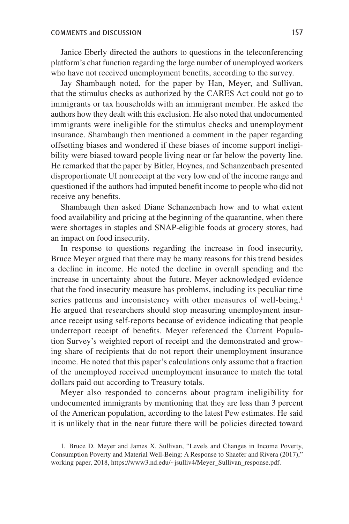Janice Eberly directed the authors to questions in the teleconferencing platform's chat function regarding the large number of unemployed workers who have not received unemployment benefits, according to the survey.

Jay Shambaugh noted, for the paper by Han, Meyer, and Sullivan, that the stimulus checks as authorized by the CARES Act could not go to immigrants or tax households with an immigrant member. He asked the authors how they dealt with this exclusion. He also noted that undocumented immigrants were ineligible for the stimulus checks and unemployment insurance. Shambaugh then mentioned a comment in the paper regarding offsetting biases and wondered if these biases of income support ineligibility were biased toward people living near or far below the poverty line. He remarked that the paper by Bitler, Hoynes, and Schanzenbach presented disproportionate UI nonreceipt at the very low end of the income range and questioned if the authors had imputed benefit income to people who did not receive any benefits.

Shambaugh then asked Diane Schanzenbach how and to what extent food availability and pricing at the beginning of the quarantine, when there were shortages in staples and SNAP-eligible foods at grocery stores, had an impact on food insecurity.

In response to questions regarding the increase in food insecurity, Bruce Meyer argued that there may be many reasons for this trend besides a decline in income. He noted the decline in overall spending and the increase in uncertainty about the future. Meyer acknowledged evidence that the food insecurity measure has problems, including its peculiar time series patterns and inconsistency with other measures of well-being.<sup>1</sup> He argued that researchers should stop measuring unemployment insurance receipt using self-reports because of evidence indicating that people underreport receipt of benefits. Meyer referenced the Current Population Survey's weighted report of receipt and the demonstrated and growing share of recipients that do not report their unemployment insurance income. He noted that this paper's calculations only assume that a fraction of the unemployed received unemployment insurance to match the total dollars paid out according to Treasury totals.

Meyer also responded to concerns about program ineligibility for undocumented immigrants by mentioning that they are less than 3 percent of the American population, according to the latest Pew estimates. He said it is unlikely that in the near future there will be policies directed toward

<sup>1.</sup> Bruce D. Meyer and James X. Sullivan, "Levels and Changes in Income Poverty, Consumption Poverty and Material Well-Being: A Response to Shaefer and Rivera (2017)," working paper, 2018, https://www3.nd.edu/∼jsulliv4/Meyer\_Sullivan\_response.pdf.